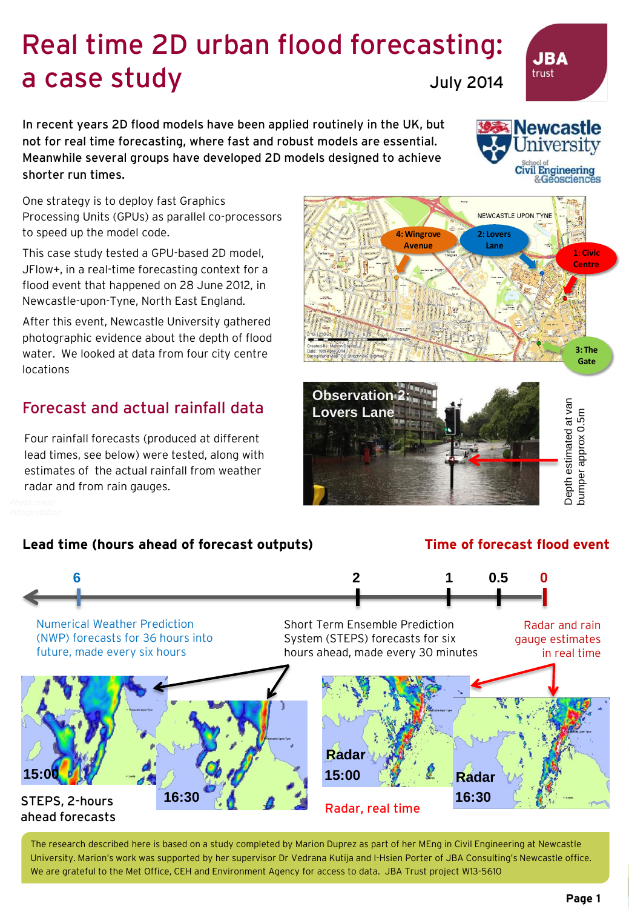## Real time 2D urban flood forecasting: a case study July 2014

In recent years 2D flood models have been applied routinely in the UK, but not for real time forecasting, where fast and robust models are essential. Meanwhile several groups have developed 2D models designed to achieve shorter run times.

One strategy is to deploy fast Graphics Processing Units (GPUs) as parallel co-processors to speed up the model code.

This case study tested a GPU-based 2D model, JFlow+, in a real-time forecasting context for a flood event that happened on 28 June 2012, in Newcastle-upon-Tyne, North East England.

After this event, Newcastle University gathered photographic evidence about the depth of flood water. We looked at data from four city centre locations

## Forecast and actual rainfall data

Four rainfall forecasts (produced at different lead times, see below) were tested, along with estimates of the actual rainfall from weather radar and from rain gauges.

### **Lead time (hours ahead of forecast outputs) Time of forecast flood event**



The research described here is based on a study completed by Marion Duprez as part of her MEng in Civil Engineering at Newcastle University. Marion's work was supported by her supervisor Dr Vedrana Kutija and I-Hsien Porter of JBA Consulting's Newcastle office. We are grateful to the Met Office, CEH and Environment Agency for access to data. JBA Trust project W13-5610



Civil Engineering &Geosciences NEWCASTLE UPON TYNE **4: Wingrove 2: Lovers Avenue Lane 1: Civic Centre**

# **Observation 2: Lovers Lane** Depth estimated at van

**F**



**3: The Gate**



**JBA** trust